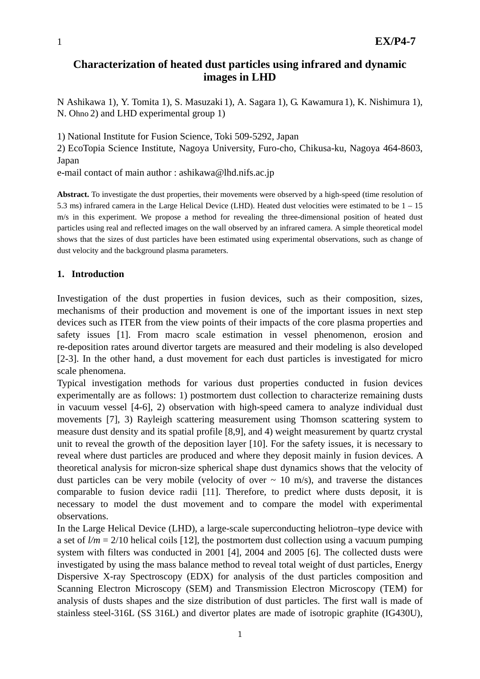# **Characterization of heated dust particles using infrared and dynamic images in LHD**

N Ashikawa 1), Y. Tomita 1), S. Masuzaki 1), A. Sagara 1), G. Kawamura 1), K. Nishimura 1), N. Ohno 2) and LHD experimental group 1)

1) National Institute for Fusion Science, Toki 509-5292, Japan

2) EcoTopia Science Institute, Nagoya University, Furo-cho, Chikusa-ku, Nagoya 464-8603, Japan

e-mail contact of main author : ashikawa@lhd.nifs.ac.jp

**Abstract.** To investigate the dust properties, their movements were observed by a high-speed (time resolution of 5.3 ms) infrared camera in the Large Helical Device (LHD). Heated dust velocities were estimated to be 1 – 15 m/s in this experiment. We propose a method for revealing the three-dimensional position of heated dust particles using real and reflected images on the wall observed by an infrared camera. A simple theoretical model shows that the sizes of dust particles have been estimated using experimental observations, such as change of dust velocity and the background plasma parameters.

## **1. Introduction**

Investigation of the dust properties in fusion devices, such as their composition, sizes, mechanisms of their production and movement is one of the important issues in next step devices such as ITER from the view points of their impacts of the core plasma properties and safety issues [1]. From macro scale estimation in vessel phenomenon, erosion and re-deposition rates around divertor targets are measured and their modeling is also developed [2-3]. In the other hand, a dust movement for each dust particles is investigated for micro scale phenomena.

Typical investigation methods for various dust properties conducted in fusion devices experimentally are as follows: 1) postmortem dust collection to characterize remaining dusts in vacuum vessel [4-6], 2) observation with high-speed camera to analyze individual dust movements [7], 3) Rayleigh scattering measurement using Thomson scattering system to measure dust density and its spatial profile [8,9], and 4) weight measurement by quartz crystal unit to reveal the growth of the deposition layer [10]. For the safety issues, it is necessary to reveal where dust particles are produced and where they deposit mainly in fusion devices. A theoretical analysis for micron-size spherical shape dust dynamics shows that the velocity of dust particles can be very mobile (velocity of over  $\sim$  10 m/s), and traverse the distances comparable to fusion device radii [11]. Therefore, to predict where dusts deposit, it is necessary to model the dust movement and to compare the model with experimental observations.

In the Large Helical Device (LHD), a large-scale superconducting heliotron–type device with a set of  $l/m = 2/10$  helical coils [12], the postmortem dust collection using a vacuum pumping system with filters was conducted in 2001 [4], 2004 and 2005 [6]. The collected dusts were investigated by using the mass balance method to reveal total weight of dust particles, Energy Dispersive X-ray Spectroscopy (EDX) for analysis of the dust particles composition and Scanning Electron Microscopy (SEM) and Transmission Electron Microscopy (TEM) for analysis of dusts shapes and the size distribution of dust particles. The first wall is made of stainless steel-316L (SS 316L) and divertor plates are made of isotropic graphite (IG430U),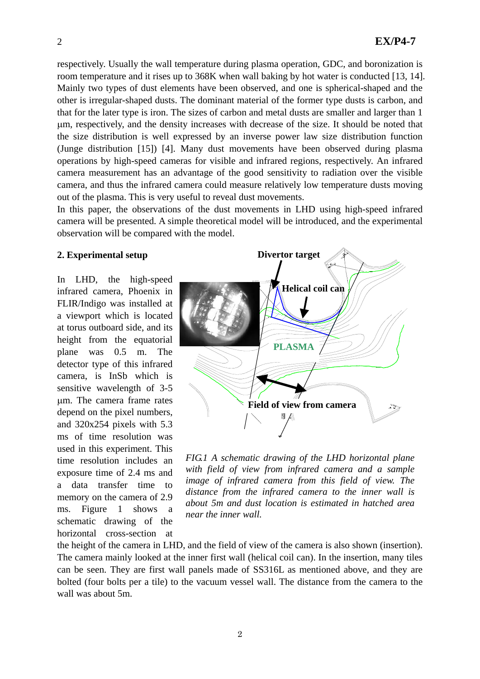respectively. Usually the wall temperature during plasma operation, GDC, and boronization is room temperature and it rises up to 368K when wall baking by hot water is conducted [13, 14]. Mainly two types of dust elements have been observed, and one is spherical-shaped and the other is irregular-shaped dusts. The dominant material of the former type dusts is carbon, and that for the later type is iron. The sizes of carbon and metal dusts are smaller and larger than 1 μm, respectively, and the density increases with decrease of the size. It should be noted that the size distribution is well expressed by an inverse power law size distribution function (Junge distribution [15]) [4]. Many dust movements have been observed during plasma operations by high-speed cameras for visible and infrared regions, respectively. An infrared camera measurement has an advantage of the good sensitivity to radiation over the visible camera, and thus the infrared camera could measure relatively low temperature dusts moving out of the plasma. This is very useful to reveal dust movements.

In this paper, the observations of the dust movements in LHD using high-speed infrared camera will be presented. A simple theoretical model will be introduced, and the experimental observation will be compared with the model.

### **2. Experimental setup**

In LHD, the high-speed infrared camera, Phoenix in FLIR/Indigo was installed at a viewport which is located at torus outboard side, and its height from the equatorial plane was 0.5 m. The detector type of this infrared camera, is InSb which is sensitive wavelength of 3-5 μm. The camera frame rates depend on the pixel numbers, and 320x254 pixels with 5.3 ms of time resolution was used in this experiment. This time resolution includes an exposure time of 2.4 ms and a data transfer time to memory on the camera of 2.9 ms. Figure 1 shows a schematic drawing of the horizontal cross-section at



*FIG.1 A schematic drawing of the LHD horizontal plane with field of view from infrared camera and a sample image of infrared camera from this field of view. The distance from the infrared camera to the inner wall is about 5m and dust location is estimated in hatched area near the inner wall.* 

the height of the camera in LHD, and the field of view of the camera is also shown (insertion). The camera mainly looked at the inner first wall (helical coil can). In the insertion, many tiles can be seen. They are first wall panels made of SS316L as mentioned above, and they are bolted (four bolts per a tile) to the vacuum vessel wall. The distance from the camera to the wall was about 5m.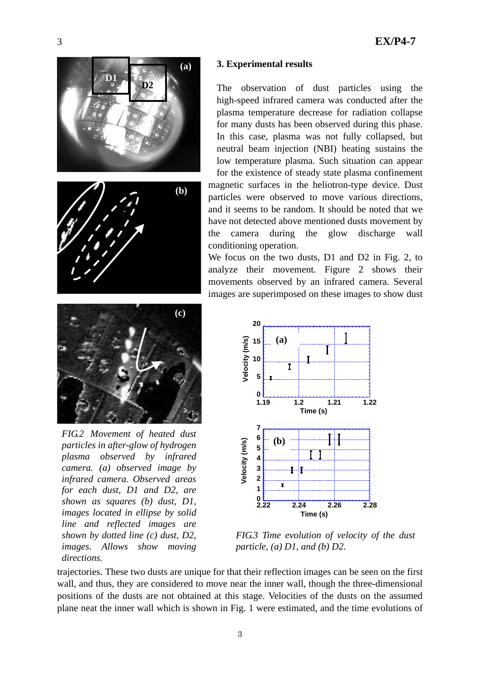





*FIG.2 Movement of heated dust particles in after-glow of hydrogen plasma observed by infrared camera. (a) observed image by infrared camera. Observed areas for each dust, D1 and D2, are shown as squares (b) dust, D1, images located in ellipse by solid line and reflected images are shown by dotted line (c) dust, D2, images. Allows show moving directions.*

# **(a) 3. Experimental results**

The observation of dust particles using the high-speed infrared camera was conducted after the plasma temperature decrease for radiation collapse for many dusts has been observed during this phase. In this case, plasma was not fully collapsed, but neutral beam injection (NBI) heating sustains the low temperature plasma. Such situation can appear for the existence of steady state plasma confinement

magnetic surfaces in the heliotron-type device. Dust particles were observed to move various directions, and it seems to be random. It should be noted that we have not detected above mentioned dusts movement by the camera during the glow discharge wall conditioning operation.

We focus on the two dusts, D1 and D2 in Fig. 2, to analyze their movement. Figure 2 shows their movements observed by an infrared camera. Several images are superimposed on these images to show dust



*FIG.3 Time evolution of velocity of the dust particle, (a) D1, and (b) D2.* 

trajectories. These two dusts are unique for t hat their reflection images can be seen on the first wall, and thus, they are considered to move near the inner wall, though the three-dimensional positions of the dusts are not obtained at th is stage. Velocities of the dusts on the assumed plane neat the inner wall which is shown in Fig. 1 were estimated, and the time evolutions of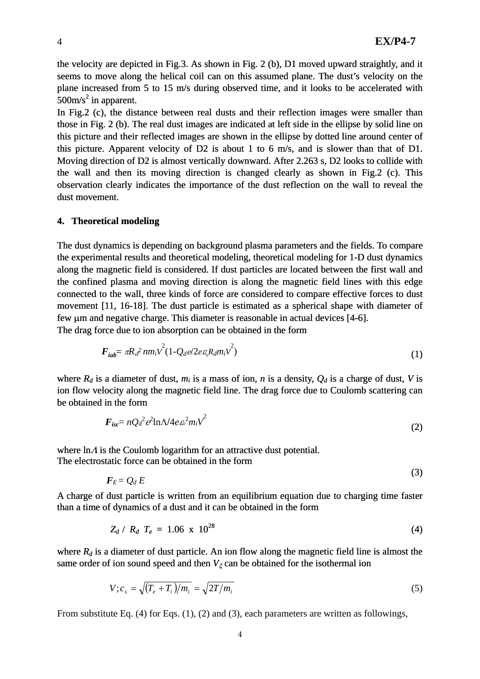(3)

the velocity are depicted in Fig.3. As shown in Fig. 2 (b), D1 moved upward straightly, and it seems to move along the helical coil can on this assumed plane. The dust's velocity on the plane increased from 5 to 15 m/s during observed time, and it looks to be accelerated with  $500 \text{m/s}^2$  in apparent.

Moving direction of D2 is almost vertically downward. After 2.263 s, D2 looks to collide with the wall and then its moving direction is changed clearly as shown in Fig.2 (c). This observation clearly indicates the importance of the dust reflection on the wall to reveal the dust movement. In Fig.2 (c), the distance between real dusts and their reflection images were smaller than those in Fig. 2 (b). The real dust images are indicated at left side in the ellipse by solid line on this picture and their reflected images are shown in the ellipse by dotted line around center of this picture. Apparent velocity of D2 is about 1 to 6 m/s, and is slower than that of D1.

#### **4. Theoretical modeling**

the confined plasma and moving direction is along the magnetic field lines with this edge connected to the wall, three kinds of force are considered to compare effective forces to dust movement [11, 16-18]. The dust particle is estimated as a spherical shape with diameter of few μm and negative charge. This diameter is reasonable in actual devices [4-6]. The dust dynamics is depending on background plasma parameters and the fields. To compare the experimental results and theoretical modeling, theoretical modeling for 1-D dust dynamics along the magnetic field is considered. If dust particles are located between the first wall and

The drag force due to ion absorption can be obtained in the form

$$
\boldsymbol{F}_{iab} = \pi R_d^2 n m_i v^2 (1 - Q_d e/2 e \varepsilon_0 R_d m_i v^2)
$$
\n<sup>(1)</sup>

where  $R_d$  is a diameter of dust,  $m_i$  is a mass of ion,  $n$  is a density,  $Q_d$  is a charge of dust, V is ion flow velocity along the magnetic field line. The drag force due to Coulomb scattering can be obtained in the form

$$
F_{isc} = nQ_d^2 e^2 \ln \Lambda / 4e \varepsilon^2 m_i v^2 \tag{2}
$$

where  $\ln A$  is the Coulomb logarithm for an attractive dust potential. The electrostatic force can be obtained in the form

 $\bm{F}_E = Q_d E$ 

A charge o f dust particle is written from an equilibrium equation due to charging time faster than a time of dynamics of a dust and it can be obtained in the form

$$
Z_d / R_d T_e = 1.06 \times 10^{28} \tag{4}
$$

than a time of dynamics of a dust and it can be obtained in the form<br>  $Z_d / R_d T_e = 1.06 \times 10^{28}$  (4)<br>
where  $R_d$  is a diameter of dust particle. An ion flow along the magnetic field line is almost the same order of ion sound speed and then  $V_{\xi}$  can be obtained for the isothermal ion

$$
V; c_s = \sqrt{(T_e + T_i)/m_i} = \sqrt{2T/m_i}
$$
 (5)

From substitute Eq.  $(4)$  for Eqs.  $(1)$ ,  $(2)$  and  $(3)$ , each parameters are written as followings,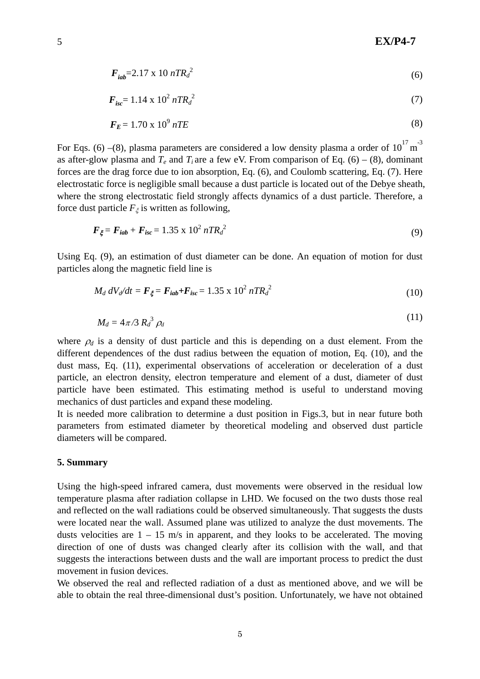$$
F_{iab} = 2.17 \times 10 \, nT R_d^2 \tag{6}
$$

$$
F_{isc} = 1.14 \times 10^2 n T R_d^2 \tag{7}
$$

$$
F_E = 1.70 \times 10^9 \, nTE \tag{8}
$$

forces are the drag force due to ion absorption, Eq. (6), and Coulomb scattering, Eq. (7). Here electrostatic force is negligible small because a dust particle is located out of the Debye sheath, where the strong electrostatic field strongly affects dynamics of a dust particle. Therefore, a force dust particle  $F_{\xi}$  is written as following, For Eqs. (6) –(8), plasma parameters are considered a low density plasma a order of  $10^{17}$  m<sup>-3</sup> as after-glow plasma and  $T_e$  and  $T_i$  are a few eV. From comparison of Eq. (6) – (8), dominant

$$
F_{\xi} = F_{iab} + F_{isc} = 1.35 \times 10^2 nTR_d^2 \tag{9}
$$

Using Eq. (9), an estimation of dust diameter can be done. An equation of motion for dust particles along the magnetic field line is

$$
M_d \, dV_d/dt = F_{\xi} = F_{iab} + F_{isc} = 1.35 \times 10^2 \, nTR_d^2 \tag{10}
$$

$$
M_d = 4\pi/3 R_d^3 \rho_d \tag{11}
$$

dust mass, Eq. (11), experimental observations of acceleration or deceleration of a dust mechanics of dust particles and expand these modeling. where  $\rho_d$  is a density of dust particle and this is depending on a dust element. From the different dependences of the dust radius between the equation of motion, Eq. (10), and the particle, an electron density, electron temperature and element of a dust, diameter of dust particle have been estimated. This estimating method is useful to understand moving

It is needed more calibration to determine a dust position in Figs.3, but in near future both parameters from estimated diameter by theoretical modeling and observed dust particle diameters will be compared.

## **5. Summary**

dusts velocities are  $1 - 15$  m/s in apparent, and they looks to be accelerated. The moving Using the high-speed infrared camera, dust movements were observed in the residual low temperature plasma after radiation collapse in LHD. We focused on the two dusts those real and reflected on the wall radiations could be observed simultaneously. That suggests the dusts were located near the wall. Assumed plane was utilized to analyze the dust movements. The direction of one of dusts was changed clearly after its collision with the wall, and that suggests the interactions between dusts and the wall are important process to predict the dust movement in fusion devices.

We observed the real and reflected radiation of a dust as mentioned above, and we will be able to obtain the real three-dimensional dust's position. Unfortunately, we have not obtained